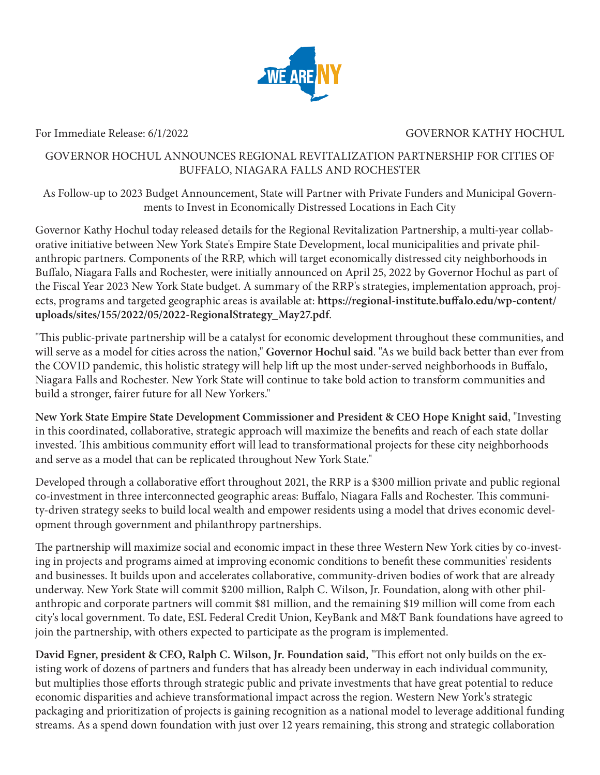

## For Immediate Release: 6/1/2022 GOVERNOR KATHY HOCHUL

## GOVERNOR HOCHUL ANNOUNCES REGIONAL REVITALIZATION PARTNERSHIP FOR CITIES OF BUFFALO, NIAGARA FALLS AND ROCHESTER

As Follow-up to 2023 Budget Announcement, State will Partner with Private Funders and Municipal Governments to Invest in Economically Distressed Locations in Each City

Governor Kathy Hochul today released details for the Regional Revitalization Partnership, a multi-year collaborative initiative between New York State's Empire State Development, local municipalities and private philanthropic partners. Components of the RRP, which will target economically distressed city neighborhoods in Buffalo, Niagara Falls and Rochester, were initially announced on April 25, 2022 by Governor Hochul as part of the Fiscal Year 2023 New York State budget. A summary of the RRP's strategies, implementation approach, projects, programs and targeted geographic areas is available at: **https://regional-institute.buffalo.edu/wp-content/ uploads/sites/155/2022/05/2022-RegionalStrategy\_May27.pdf**.

"This public-private partnership will be a catalyst for economic development throughout these communities, and will serve as a model for cities across the nation," **Governor Hochul said**. "As we build back better than ever from the COVID pandemic, this holistic strategy will help lift up the most under-served neighborhoods in Buffalo, Niagara Falls and Rochester. New York State will continue to take bold action to transform communities and build a stronger, fairer future for all New Yorkers."

**New York State Empire State Development Commissioner and President & CEO Hope Knight said**, "Investing in this coordinated, collaborative, strategic approach will maximize the benefits and reach of each state dollar invested. This ambitious community effort will lead to transformational projects for these city neighborhoods and serve as a model that can be replicated throughout New York State."

Developed through a collaborative effort throughout 2021, the RRP is a \$300 million private and public regional co-investment in three interconnected geographic areas: Buffalo, Niagara Falls and Rochester. This community-driven strategy seeks to build local wealth and empower residents using a model that drives economic development through government and philanthropy partnerships.

The partnership will maximize social and economic impact in these three Western New York cities by co-investing in projects and programs aimed at improving economic conditions to benefit these communities' residents and businesses. It builds upon and accelerates collaborative, community-driven bodies of work that are already underway. New York State will commit \$200 million, Ralph C. Wilson, Jr. Foundation, along with other philanthropic and corporate partners will commit \$81 million, and the remaining \$19 million will come from each city's local government. To date, ESL Federal Credit Union, KeyBank and M&T Bank foundations have agreed to join the partnership, with others expected to participate as the program is implemented.

**David Egner, president & CEO, Ralph C. Wilson, Jr. Foundation said**, "This effort not only builds on the existing work of dozens of partners and funders that has already been underway in each individual community, but multiplies those efforts through strategic public and private investments that have great potential to reduce economic disparities and achieve transformational impact across the region. Western New York's strategic packaging and prioritization of projects is gaining recognition as a national model to leverage additional funding streams. As a spend down foundation with just over 12 years remaining, this strong and strategic collaboration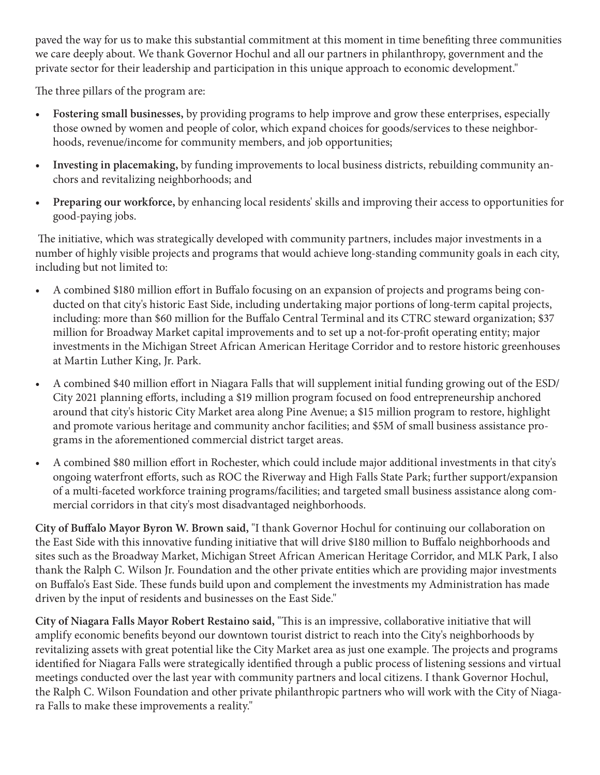paved the way for us to make this substantial commitment at this moment in time benefiting three communities we care deeply about. We thank Governor Hochul and all our partners in philanthropy, government and the private sector for their leadership and participation in this unique approach to economic development."

The three pillars of the program are:

- **• Fostering small businesses,** by providing programs to help improve and grow these enterprises, especially those owned by women and people of color, which expand choices for goods/services to these neighborhoods, revenue/income for community members, and job opportunities;
- **• Investing in placemaking,** by funding improvements to local business districts, rebuilding community anchors and revitalizing neighborhoods; and
- **• Preparing our workforce,** by enhancing local residents' skills and improving their access to opportunities for good-paying jobs.

 The initiative, which was strategically developed with community partners, includes major investments in a number of highly visible projects and programs that would achieve long-standing community goals in each city, including but not limited to:

- A combined \$180 million effort in Buffalo focusing on an expansion of projects and programs being conducted on that city's historic East Side, including undertaking major portions of long-term capital projects, including: more than \$60 million for the Buffalo Central Terminal and its CTRC steward organization; \$37 million for Broadway Market capital improvements and to set up a not-for-profit operating entity; major investments in the Michigan Street African American Heritage Corridor and to restore historic greenhouses at Martin Luther King, Jr. Park.
- A combined \$40 million effort in Niagara Falls that will supplement initial funding growing out of the ESD/ City 2021 planning efforts, including a \$19 million program focused on food entrepreneurship anchored around that city's historic City Market area along Pine Avenue; a \$15 million program to restore, highlight and promote various heritage and community anchor facilities; and \$5M of small business assistance programs in the aforementioned commercial district target areas.
- A combined \$80 million effort in Rochester, which could include major additional investments in that city's ongoing waterfront efforts, such as ROC the Riverway and High Falls State Park; further support/expansion of a multi-faceted workforce training programs/facilities; and targeted small business assistance along commercial corridors in that city's most disadvantaged neighborhoods.

**City of Buffalo Mayor Byron W. Brown said,** "I thank Governor Hochul for continuing our collaboration on the East Side with this innovative funding initiative that will drive \$180 million to Buffalo neighborhoods and sites such as the Broadway Market, Michigan Street African American Heritage Corridor, and MLK Park, I also thank the Ralph C. Wilson Jr. Foundation and the other private entities which are providing major investments on Buffalo's East Side. These funds build upon and complement the investments my Administration has made driven by the input of residents and businesses on the East Side."

**City of Niagara Falls Mayor Robert Restaino said,** "This is an impressive, collaborative initiative that will amplify economic benefits beyond our downtown tourist district to reach into the City's neighborhoods by revitalizing assets with great potential like the City Market area as just one example. The projects and programs identified for Niagara Falls were strategically identified through a public process of listening sessions and virtual meetings conducted over the last year with community partners and local citizens. I thank Governor Hochul, the Ralph C. Wilson Foundation and other private philanthropic partners who will work with the City of Niagara Falls to make these improvements a reality."